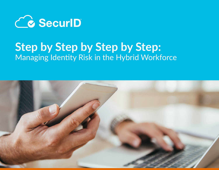

## **Step by Step by Step by Step:** Managing Identity Risk in the Hybrid Workforce

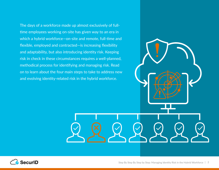The days of a workforce made up almost exclusively of fulltime employees working on-site has given way to an era in which a hybrid workforce—on-site and remote, full-time and flexible, employed and contracted—is increasing flexibility and adaptability, but also introducing identity risk. Keeping risk in check in these circumstances requires a well-planned, methodical process for identifying and managing risk. Read on to learn about the four main steps to take to address new and evolving identity-related risk in the hybrid workforce.

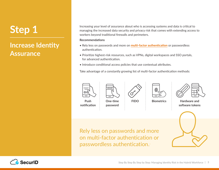### **Increase Identity Assurance**

Increasing your level of assurance about who is accessing systems and data is critical to managing the increased data security and privacy risk that comes with extending access to workers beyond traditional firewalls and perimeters.

#### **Recommendations**

- Rely less on passwords and more on **[multi-factor authentication](https://www.securid.com/en-us/products/multi-factor-authentication)** or passwordless authentication.
- Prioritize highest-risk resources, such as VPNs, digital workspaces and SSO portals, for advanced authentication.
- Introduce conditional access policies that use contextual attributes.

Take advantage of a constantly growing list of multi-factor authentication methods:









**FIDO Biometrics Hardware and software tokens**



Rely less on passwords and more on multi-factor authentication or passwordless authentication..



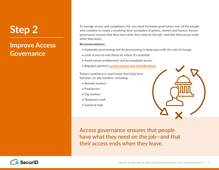### **Improve Access Governance**

To manage access and compliance risk, you need increased governance over all the people who combine to create a revolving-door workplace of joiners, movers and leavers. Access governance ensures that they have what they need on the job—and that their access ends when they leave.

#### **Recommendations**

- Automate provisioning and de-provisioning to keep pace with the rate of change.
- Limit access to only those for whom it's essential.
- Avoid excess entitlements and accumulated access.
- Regularly perform **[access reviews and recertifications](https://www.securid.com/en-us/products/identity-governance-and-lifecycle)**.

Today's workforce is much more than long-term, full-time, on-site workers—including:

- Remote workers
- Freelancers
- Gig workers
- Temporary staff
- Seasonal help



Access governance ensures that people have what they need on the job—and that their access ends when they leave.

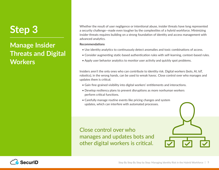### **Manage Insider Threats and Digital Workers**

Whether the result of user negligence or intentional abuse, insider threats have long represented a security challenge—made even tougher by the complexities of a hybrid workforce. Minimizing insider threats requires building on a strong foundation of identity and access management with advanced analytics.

#### **Recommendations**

- Use identity analytics to continuously detect anomalies and toxic combinations of access.
- Consider augmenting static-based authentication rules with self-learning, context-based rules.
- Apply user behavior analytics to monitor user activity and quickly spot problems.

Insiders aren't the only ones who can contribute to identity risk. Digital workers (bots, AI, IoT, robotics), in the wrong hands, can be used to wreak havoc. Close control over who manages and updates them is critical.

- Gain fine-grained visibility into digital workers' entitlements and interactions.
- Develop resiliency plans to prevent disruptions as more nonhuman workers perform critical functions.
- Carefully manage routine events like pricing changes and system updates, which can interfere with automated processes.

Close control over who manages and updates bots and other digital workers is critical.



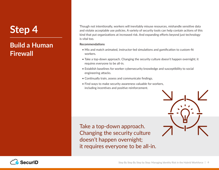### **Build a Human Firewall**

Though not intentionally, workers will inevitably misuse resources, mishandle sensitive data and violate acceptable use policies. A variety of security tools can help contain actions of this kind that put organizations at increased risk. And expanding efforts beyond just technology is vital too.

#### **Recommendations**

- Mix and match animated, instructor-led simulations and gamification to custom-fit workers.
- Take a top-down approach. Changing the security culture doesn't happen overnight; it requires everyone to be all-in.
- Establish baselines for worker cybersecurity knowledge and susceptibility to social engineering attacks.
- Continually train, assess and communicate findings.
- Find ways to make security awareness valuable for workers, including incentives and positive reinforcement.

Take a top-down approach. Changing the security culture doesn't happen overnight; it requires everyone to be all-in.



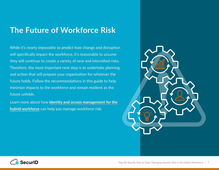### **The Future of Workforce Risk**

While it's nearly impossible to predict how change and disruption will specifically impact the workforce, it's reasonable to assume they will continue to create a variety of new and intensified risks. Therefore, the most important next step is to undertake planning and action that will prepare your organization for whatever the future holds. Follow the recommendations in this guide to help minimize impacts to the workforce and remain resilient as the future unfolds.

Learn more about how **[identity and access management for the](https://www.securid.com/en-us/solutions/hybrid-workforce)  [hybrid workforce](https://www.securid.com/en-us/solutions/hybrid-workforce)** can help you manage workforce risk.